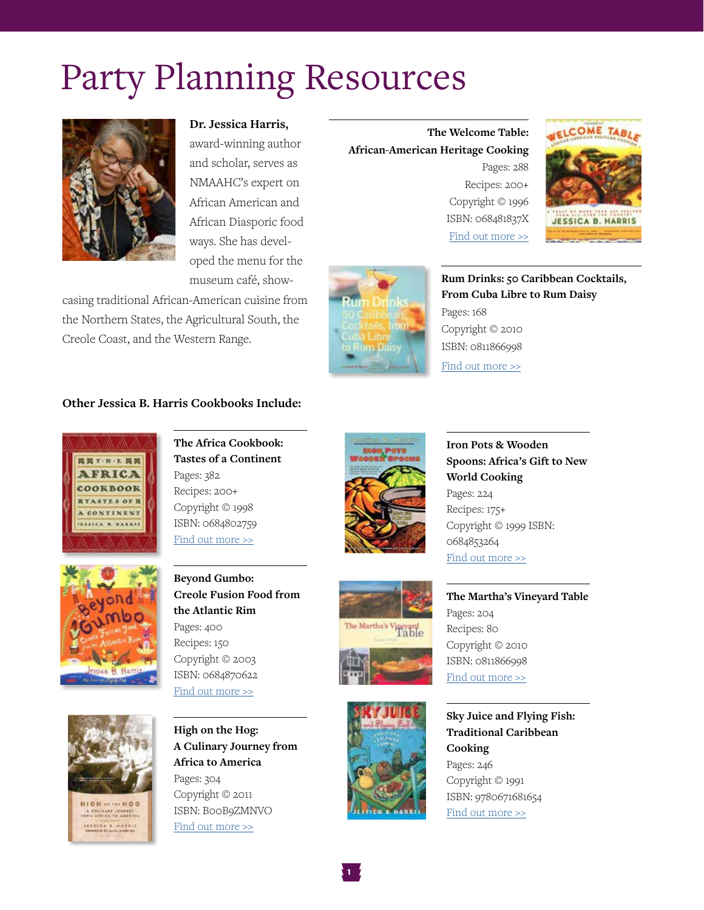# Party Planning Resources



**Dr. Jessica Harris,**

award-winning author and scholar, serves as NMAAHC's expert on African American and African Diasporic food ways. She has developed the menu for the museum café, show-

casing traditional African-American cuisine from the Northern States, the Agricultural South, the Creole Coast, and the Western Range.

**Other Jessica B. Harris Cookbooks Include:**

Pages: 382 Recipes: 200+ Copyright © 1998 ISBN: 0684802759 [Find out more >>](http://africooks.com/index.php?page=africa-cookbook)

# 関関T·H·L 関関 **AFRICA** COOKBOOK **NTASTES OF N** A CONTINENT **SSICA & HARRIS**



**Beyond Gumbo: Creole Fusion Food from the Atlantic Rim** Pages: 400 Recipes: 150 Copyright © 2003 ISBN: 0684870622 [Find out more >>](http://africooks.com/index.php?page=beyond-gumbo)

**The Africa Cookbook: Tastes of a Continent**



**HIGH -- IN HOO** COLIVANY (CUBRA)<br>In ARTICA TO ANTIFEN ESTEA E. HAXELE





um Däisv

**Iron Pots & Wooden Spoons: Africa's Gift to New World Cooking** Pages: 224 Recipes: 175+ Copyright © 1999 ISBN: 0684853264 [Find out more >>](http://africooks.com/index.php?page=iron-pots)

**The Martha's Vineyard Table**





**1**

**Sky Juice and Flying Fish: Traditional Caribbean Cooking** Pages: 246 Copyright © 1991 ISBN: 9780671681654 [Find out more >>](http://africooks.com/index.php?page=sky-juice)

Pages: 288 Recipes: 200+ Copyright © 1996 ISBN: 068481837X

**The Welcome Table:** 

**African-American Heritage Cooking**

[Find out more >>](http://africooks.com/index.php?page=welcome-table)

Pages: 168

Copyright © 2010 ISBN: 0811866998 [Find out more >>](http://africooks.com/index.php?page=rum-drinks)

**Rum Drinks: 50 Caribbean Cocktails, From Cuba Libre to Rum Daisy**





ISBN: 0811866998 [Find out more >>](https://www.amazon.com/Marthas-Vineyard-Table-Jessica-Harris-ebook/dp/B00EAZDWW4/ref=sr_1_6?ie=UTF8&qid=1471558268&sr=8-6&keywords=jessica+b.+harris#nav-subnav)

Pages: 204 Recipes: 80 Copyright © 2010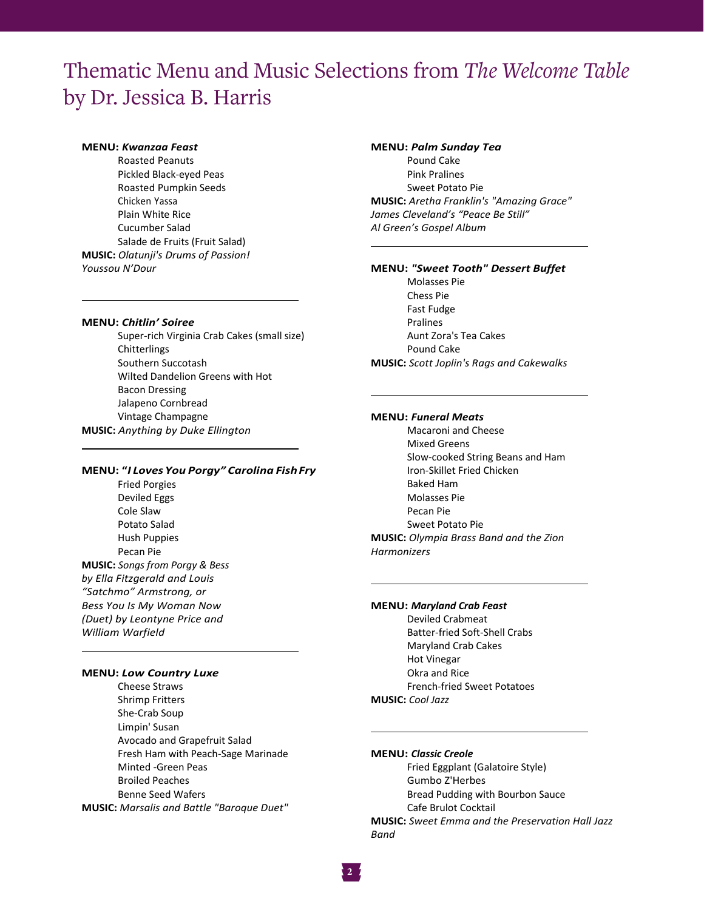# Thematic Menu and Music Selections from *The Welcome Table* by Dr. Jessica B. Harris

#### **MENU:** *Kwanzaa Feast*

Roasted Peanuts Pickled Black-eyed Peas Roasted Pumpkin Seeds Chicken Yassa Plain White Rice Cucumber Salad Salade de Fruits (Fruit Salad) **MUSIC:** *Olatunji's Drums of Passion! Youssou N'Dour*

#### **MENU:** *Chitlin' Soiree*

Super-rich Virginia Crab Cakes (small size) **Chitterlings** Southern Succotash Wilted Dandelion Greens with Hot Bacon Dressing Jalapeno Cornbread Vintage Champagne **MUSIC:** *Anything by Duke Ellington*

#### **MENU: "***I Loves You Porgy" Carolina Fish Fry*

Fried Porgies Deviled Eggs Cole Slaw Potato Salad Hush Puppies Pecan Pie **MUSIC:** *Songs from Porgy & Bess by Ella Fitzgerald and Louis "Satchmo" Armstrong, or Bess You Is My Woman Now (Duet) by Leontyne Price and William Warfield*

#### **MENU:** *Low Country Luxe*

Cheese Straws Shrimp Fritters She-Crab Soup Limpin' Susan Avocado and Grapefruit Salad Fresh Ham with Peach-Sage Marinade Minted -Green Peas Broiled Peaches Benne Seed Wafers **MUSIC:** *Marsalis and Battle "Baroque Duet"*

# **MENU:** *Palm Sunday Tea* Pound Cake Pink Pralines Sweet Potato Pie **MUSIC:** *Aretha Franklin's "Amazing Grace" James Cleveland's "Peace Be Still" Al Green's Gospel Album*

#### **MENU:** *"Sweet Tooth" Dessert Buffet*

Molasses Pie Chess Pie Fast Fudge Pralines Aunt Zora's Tea Cakes Pound Cake **MUSIC:** *Scott Joplin's Rags and Cakewalks* 

#### **MENU:** *Funeral Meats*

Macaroni and Cheese Mixed Greens Slow-cooked String Beans and Ham Iron-Skillet Fried Chicken Baked Ham Molasses Pie Pecan Pie Sweet Potato Pie **MUSIC:** *Olympia Brass Band and the Zion Harmonizers*

#### **MENU:** *Maryland Crab Feast*

Deviled Crabmeat Batter-fried Soft-Shell Crabs Maryland Crab Cakes Hot Vinegar Okra and Rice French-fried Sweet Potatoes **MUSIC:** *Cool Jazz* 

#### **MENU:** *Classic Creole*

Fried Eggplant (Galatoire Style) Gumbo Z'Herbes Bread Pudding with Bourbon Sauce Cafe Brulot Cocktail **MUSIC:** *Sweet Emma and the Preservation Hall Jazz Band*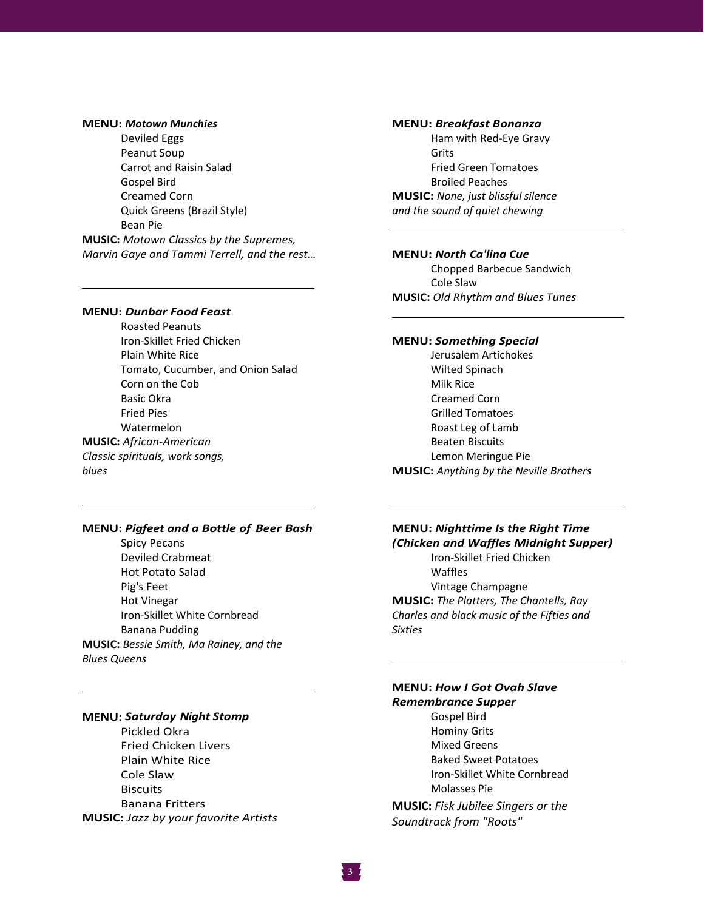#### **MENU:** *Motown Munchies*

Deviled Eggs Peanut Soup Carrot and Raisin Salad Gospel Bird Creamed Corn Quick Greens (Brazil Style) Bean Pie

**MUSIC:** *Motown Classics by the Supremes, Marvin Gaye and Tammi Terrell, and the rest…*

#### **MENU:** *Dunbar Food Feast*

Roasted Peanuts Iron-Skillet Fried Chicken Plain White Rice Tomato, Cucumber, and Onion Salad Corn on the Cob Basic Okra Fried Pies Watermelon **MUSIC:** *African-American Classic spirituals, work songs, blues*

#### **MENU:** *Pigfeet and a Bottle of Beer Bash*

Spicy Pecans Deviled Crabmeat Hot Potato Salad Pig's Feet Hot Vinegar Iron-Skillet White Cornbread Banana Pudding **MUSIC:** *Bessie Smith, Ma Rainey, and the Blues Queens* 

# **MENU:** *Saturday Night Stomp*

Pickled Okra Fried Chicken Livers Plain White Rice Cole Slaw **Biscuits** Banana Fritters **MUSIC:** *Jazz by your favorite Artists* 

#### **MENU:** *Breakfast Bonanza*

Ham with Red-Eye Gravy Grits Fried Green Tomatoes Broiled Peaches **MUSIC:** *None, just blissful silence and the sound of quiet chewing* 

**MENU:** *North Ca'lina Cue* Chopped Barbecue Sandwich Cole Slaw **MUSIC:** *Old Rhythm and Blues Tunes*

### **MENU:** *Something Special*

Jerusalem Artichokes Wilted Spinach Milk Rice Creamed Corn Grilled Tomatoes Roast Leg of Lamb Beaten Biscuits Lemon Meringue Pie **MUSIC:** *Anything by the Neville Brothers* 

### **MENU:** *Nighttime Is the Right Time (Chicken and Waffles Midnight Supper)*

Iron-Skillet Fried Chicken Waffles Vintage Champagne **MUSIC:** *The Platters, The Chantells, Ray Charles and black music of the Fifties and Sixties* 

## **MENU:** *How I Got Ovah Slave Remembrance Supper* Gospel Bird

Hominy Grits Mixed Greens Baked Sweet Potatoes Iron-Skillet White Cornbread Molasses Pie

**MUSIC:** *Fisk Jubilee Singers or the Soundtrack from "Roots"*